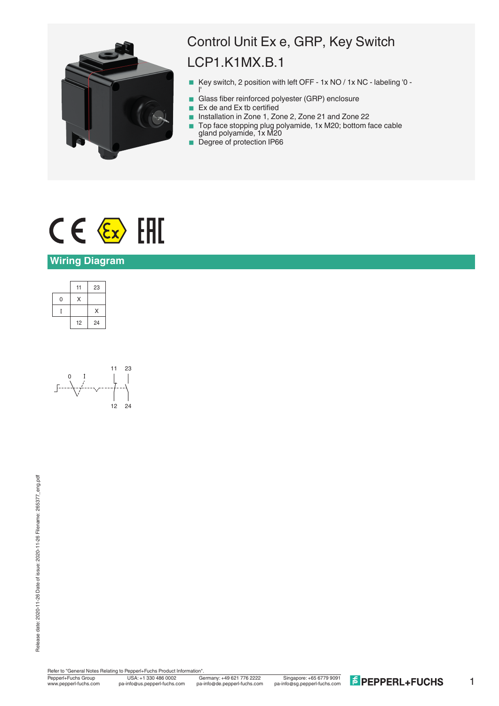

## Control Unit Ex e, GRP, Key Switch LCP1.K1MX.B.1

- Key switch, 2 position with left OFF 1x NO / 1x NC labeling '0 l'
- Glass fiber reinforced polyester (GRP) enclosure
- $\blacksquare$  Ex de and Ex tb certified
- Installation in Zone 1, Zone 2, Zone 21 and Zone 22
- Top face stopping plug polyamide, 1x M20; bottom face cable gland polyamide, 1x M20
- Degree of protection IP66

# $C \in \langle \overline{\epsilon_x} \rangle$  [FII]

### **Wiring Diagram**





Refer to "General Notes Relating to Pepperl+Fuchs Product Information"<br>
Pepperl+Fuchs Group<br>
Www.pepperl-fuchs.com pa-info@us.pepperl-fuchs.com pa

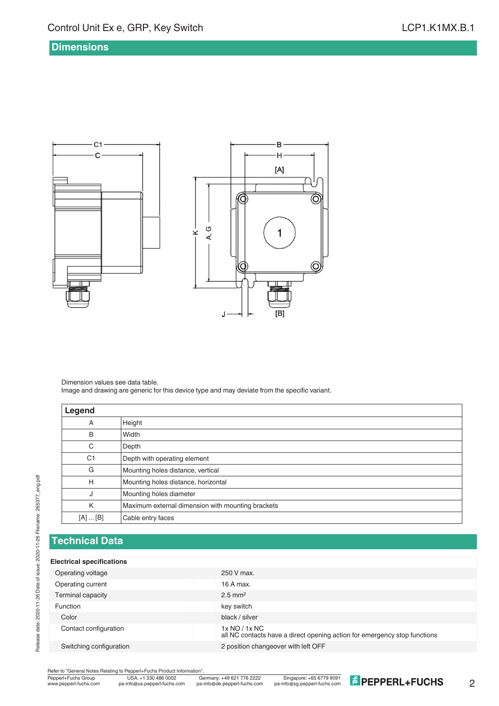#### **Dimensions**



Dimension values see data table. Image and drawing are generic for this device type and may deviate from the specific variant.

| Legend         |                                                   |  |
|----------------|---------------------------------------------------|--|
| Α              | Height                                            |  |
| B              | Width                                             |  |
| C              | Depth                                             |  |
| C <sub>1</sub> | Depth with operating element                      |  |
| G              | Mounting holes distance, vertical                 |  |
| Н              | Mounting holes distance, horizontal               |  |
| J              | Mounting holes diameter                           |  |
| K              | Maximum external dimension with mounting brackets |  |
| [A]  [B]       | Cable entry faces                                 |  |

#### **Technical Data**

#### **Electrical specifications**

| Operating voltage        | 250 V max.                                                                                 |
|--------------------------|--------------------------------------------------------------------------------------------|
| Operating current        | 16 A max.                                                                                  |
| <b>Terminal capacity</b> | $2.5$ mm <sup>2</sup>                                                                      |
| <b>Function</b>          | key switch                                                                                 |
| Color                    | black / silver                                                                             |
| Contact configuration    | 1x NO / 1x NC<br>all NC contacts have a direct opening action for emergency stop functions |
| Switching configuration  | 2 position changeover with left OFF                                                        |
|                          |                                                                                            |

Refer to "General Notes Relating to Pepperl+Fuchs Product Information"<br>
Pepperl+Fuchs Group<br>
Www.pepperl-fuchs.com pa-info@us.pepperl-fuchs.com pa

 $\overline{\widehat{\mathcal{O}}}$ 

 $\circledcirc$ 

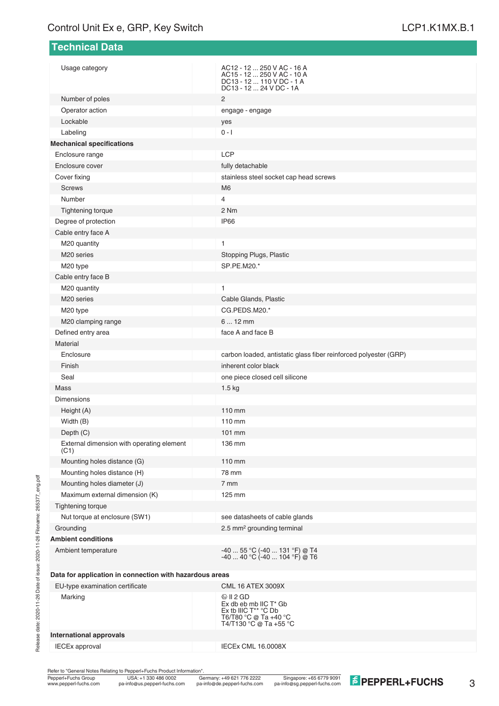| <b>Technical Data</b>                                   |                                                                                                                  |
|---------------------------------------------------------|------------------------------------------------------------------------------------------------------------------|
| Usage category                                          | AC12 - 12  250 V AC - 16 A<br>AC15 - 12  250 V AC - 10 A<br>DC13 - 12  110 V DC - 1 A<br>DC13 - 12  24 V DC - 1A |
| Number of poles                                         | 2                                                                                                                |
| Operator action                                         | engage - engage                                                                                                  |
| Lockable                                                | yes                                                                                                              |
| Labeling                                                | $0 - 1$                                                                                                          |
| <b>Mechanical specifications</b>                        |                                                                                                                  |
| Enclosure range                                         | LCP                                                                                                              |
| Enclosure cover                                         | fully detachable                                                                                                 |
| Cover fixing                                            | stainless steel socket cap head screws                                                                           |
| <b>Screws</b>                                           | M <sub>6</sub>                                                                                                   |
| Number                                                  | 4                                                                                                                |
| Tightening torque                                       | 2 Nm                                                                                                             |
| Degree of protection                                    | <b>IP66</b>                                                                                                      |
| Cable entry face A                                      |                                                                                                                  |
| M20 quantity                                            | 1                                                                                                                |
| M <sub>20</sub> series                                  | Stopping Plugs, Plastic                                                                                          |
| M20 type                                                | SP.PE.M20.*                                                                                                      |
| Cable entry face B                                      |                                                                                                                  |
| M20 quantity                                            | 1                                                                                                                |
| M20 series                                              | Cable Glands, Plastic                                                                                            |
| M20 type                                                | CG.PEDS.M20.*                                                                                                    |
| M20 clamping range                                      | $612$ mm                                                                                                         |
| Defined entry area                                      | face A and face B                                                                                                |
| Material                                                |                                                                                                                  |
| Enclosure                                               | carbon loaded, antistatic glass fiber reinforced polyester (GRP)                                                 |
| Finish                                                  | inherent color black                                                                                             |
| Seal                                                    | one piece closed cell silicone                                                                                   |
| Mass                                                    | 1.5 <sub>kg</sub>                                                                                                |
| <b>Dimensions</b>                                       |                                                                                                                  |
| Height (A)                                              | $110 \text{ mm}$                                                                                                 |
| Width (B)                                               | 110 mm                                                                                                           |
| Depth (C)                                               | 101 mm                                                                                                           |
| External dimension with operating element<br>(C1)       | 136 mm                                                                                                           |
| Mounting holes distance (G)                             | 110 mm                                                                                                           |
| Mounting holes distance (H)                             | 78 mm                                                                                                            |
| Mounting holes diameter (J)                             | 7 mm                                                                                                             |
| Maximum external dimension (K)                          | 125 mm                                                                                                           |
| Tightening torque                                       |                                                                                                                  |
| Nut torque at enclosure (SW1)                           | see datasheets of cable glands                                                                                   |
| Grounding                                               | 2.5 mm <sup>2</sup> grounding terminal                                                                           |
| <b>Ambient conditions</b>                               |                                                                                                                  |
| Ambient temperature                                     | -40  55 °C (-40  131 °F) @ T4<br>-40  40 °C (-40  104 °F) @ T6                                                   |
| Data for application in connection with hazardous areas |                                                                                                                  |
| EU-type examination certificate                         | <b>CML 16 ATEX 3009X</b>                                                                                         |
| Marking                                                 | ⊗ II 2 GD<br>Ex db eb mb IIC T* Gb<br>Ex tb IIIC T** °C Db<br>T6/T80 °C @ Ta +40 °C<br>T4/T130 °C @ Ta +55 °C    |
| <b>International approvals</b>                          |                                                                                                                  |
| <b>IECEx approval</b>                                   | IECEx CML 16.0008X                                                                                               |

Refer to "General Notes Relating to Pepperl+Fuchs Product Information".

Pepperl+Fuchs Group Germany: +49 621 776 2222

USA: +1 330 486 0002 Singapore: +65 6779 9091 www.pepperl-fuchs.com pa-info@us.pepperl-fuchs.com pa-info@de.pepperl-fuchs.com pa-info@sg.pepperl-fuchs.com